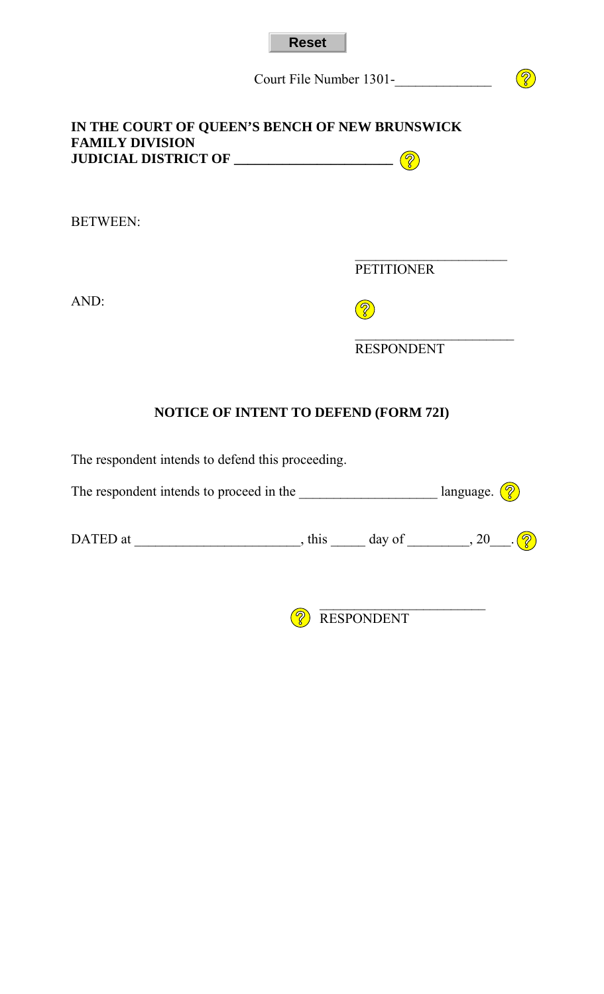| <b>Reset</b> |  |
|--------------|--|
|--------------|--|

Court File Number 1301-

## **IN THE COURT OF QUEEN'S BENCH OF NEW BRUNSWICK FAMILY DIVISION JUDICIAL DISTRICT OF \_\_\_\_\_\_\_\_\_\_\_\_\_\_\_\_\_\_\_\_\_\_\_**

BETWEEN:

 $\mathcal{L}_\text{max}$  and  $\mathcal{L}_\text{max}$  and  $\mathcal{L}_\text{max}$  and  $\mathcal{L}_\text{max}$  and  $\mathcal{L}_\text{max}$  and  $\mathcal{L}_\text{max}$ **PETITIONER** 

 $\circled{?}$ 

AND:

 $\circled{?}$ 

 $\mathcal{L}_\text{max}$  , which is a set of the set of the set of the set of the set of the set of the set of the set of the set of the set of the set of the set of the set of the set of the set of the set of the set of the set of RESPONDENT

## **NOTICE OF INTENT TO DEFEND (FORM 72I)**

The respondent intends to defend this proceeding.

| The respondent intends to proceed in the | language. $\left(\begin{matrix} 2 \end{matrix}\right)$ |  |
|------------------------------------------|--------------------------------------------------------|--|
|                                          |                                                        |  |

| D<br>at<br>∼<br>---<br>---- |  | . |
|-----------------------------|--|---|
|                             |  |   |